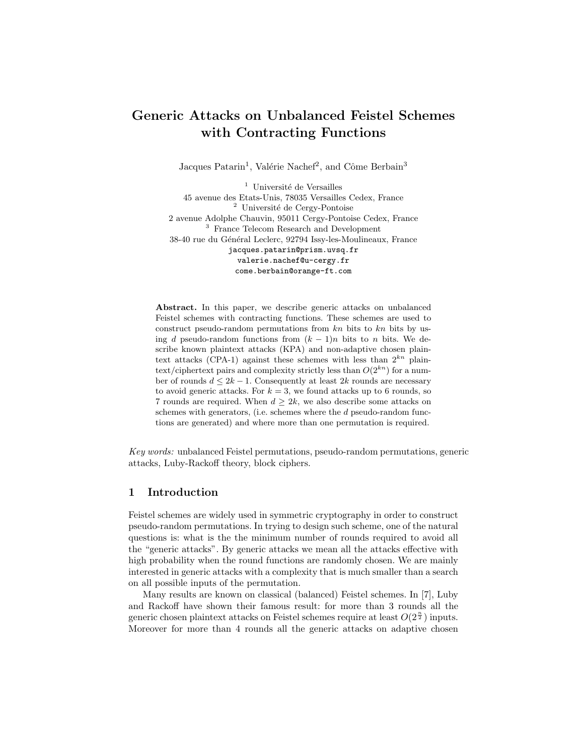# Generic Attacks on Unbalanced Feistel Schemes with Contracting Functions

Jacques Patarin<sup>1</sup>, Valérie Nachef<sup>2</sup>, and Côme Berbain<sup>3</sup>

 $^{\rm 1}$ Université de Versailles 45 avenue des Etats-Unis, 78035 Versailles Cedex, France <sup>2</sup> Université de Cergy-Pontoise 2 avenue Adolphe Chauvin, 95011 Cergy-Pontoise Cedex, France <sup>3</sup> France Telecom Research and Development 38-40 rue du Général Leclerc, 92794 Issy-les-Moulineaux, France jacques.patarin@prism.uvsq.fr valerie.nachef@u-cergy.fr come.berbain@orange-ft.com

Abstract. In this paper, we describe generic attacks on unbalanced Feistel schemes with contracting functions. These schemes are used to construct pseudo-random permutations from  $kn$  bits to  $kn$  bits by using d pseudo-random functions from  $(k-1)n$  bits to n bits. We describe known plaintext attacks (KPA) and non-adaptive chosen plaintext attacks (CPA-1) against these schemes with less than  $2^{kn}$  plaintext/ciphertext pairs and complexity strictly less than  $O(2^{kn})$  for a number of rounds  $d \leq 2k - 1$ . Consequently at least  $2k$  rounds are necessary to avoid generic attacks. For  $k = 3$ , we found attacks up to 6 rounds, so 7 rounds are required. When  $d \geq 2k$ , we also describe some attacks on schemes with generators, (i.e. schemes where the d pseudo-random functions are generated) and where more than one permutation is required.

Key words: unbalanced Feistel permutations, pseudo-random permutations, generic attacks, Luby-Rackoff theory, block ciphers.

### 1 Introduction

Feistel schemes are widely used in symmetric cryptography in order to construct pseudo-random permutations. In trying to design such scheme, one of the natural questions is: what is the the minimum number of rounds required to avoid all the "generic attacks". By generic attacks we mean all the attacks effective with high probability when the round functions are randomly chosen. We are mainly interested in generic attacks with a complexity that is much smaller than a search on all possible inputs of the permutation.

Many results are known on classical (balanced) Feistel schemes. In [7], Luby and Rackoff have shown their famous result: for more than 3 rounds all the generic chosen plaintext attacks on Feistel schemes require at least  $O(2^{\frac{n}{2}})$  inputs. Moreover for more than 4 rounds all the generic attacks on adaptive chosen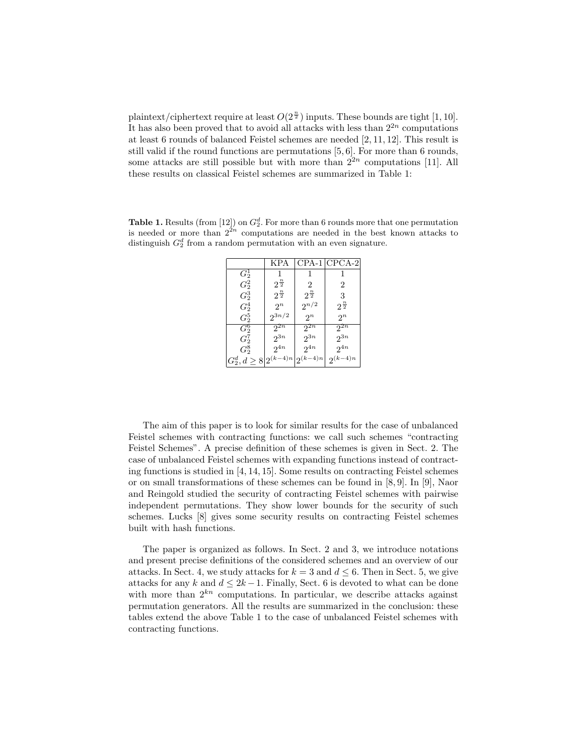plaintext/ciphertext require at least  $O(2^{\frac{n}{2}})$  inputs. These bounds are tight [1, 10]. It has also been proved that to avoid all attacks with less than  $2^{2n}$  computations at least 6 rounds of balanced Feistel schemes are needed [2, 11, 12]. This result is still valid if the round functions are permutations [5, 6]. For more than 6 rounds, some attacks are still possible but with more than  $2^{2n}$  computations [11]. All these results on classical Feistel schemes are summarized in Table 1:

**Table 1.** Results (from [12]) on  $G_2^d$ . For more than 6 rounds more that one permutation is needed or more than  $2^{2n}$  computations are needed in the best known attacks to distinguish  $G_2^d$  from a random permutation with an even signature.

|                                                        | KPA               |                     | $CPA-1$ $CPCA-2$  |
|--------------------------------------------------------|-------------------|---------------------|-------------------|
| $G_2^1$                                                |                   |                     |                   |
| $G_2^2$                                                | $2^{\frac{n}{2}}$ | 2                   | 2                 |
| $G_2^3$                                                | $2^{\frac{n}{2}}$ | $2^{\frac{n}{2}}$   | 3                 |
| $\,G^4_2\,$                                            | $2^n$             | $2^{n/2}$           | $2^{\frac{n}{2}}$ |
| $G_2^5$                                                | $2^{3n/2}$        | $2^n$               | $2^n$             |
| $\overline{G_2^6}$                                     | $2^{2n}$          | $2^{\overline{2n}}$ | $2^{2n}$          |
| $G_2^7$                                                | $2^{3n}$          | $2^{3n}$            | $2^{3n}$          |
| $G_2^8$                                                | $2^{4n}$          | $2^{4n}$            | $2^{4n}$          |
| $G_2^d, d \geq 8 \left  2^{(k-4)n} \right  2^{(k-4)n}$ |                   |                     | $2^{(k-4)n}$      |

The aim of this paper is to look for similar results for the case of unbalanced Feistel schemes with contracting functions: we call such schemes "contracting Feistel Schemes". A precise definition of these schemes is given in Sect. 2. The case of unbalanced Feistel schemes with expanding functions instead of contracting functions is studied in [4, 14, 15]. Some results on contracting Feistel schemes or on small transformations of these schemes can be found in [8, 9]. In [9], Naor and Reingold studied the security of contracting Feistel schemes with pairwise independent permutations. They show lower bounds for the security of such schemes. Lucks [8] gives some security results on contracting Feistel schemes built with hash functions.

The paper is organized as follows. In Sect. 2 and 3, we introduce notations and present precise definitions of the considered schemes and an overview of our attacks. In Sect. 4, we study attacks for  $k = 3$  and  $d \leq 6$ . Then in Sect. 5, we give attacks for any k and  $d \leq 2k-1$ . Finally, Sect. 6 is devoted to what can be done with more than  $2^{kn}$  computations. In particular, we describe attacks against permutation generators. All the results are summarized in the conclusion: these tables extend the above Table 1 to the case of unbalanced Feistel schemes with contracting functions.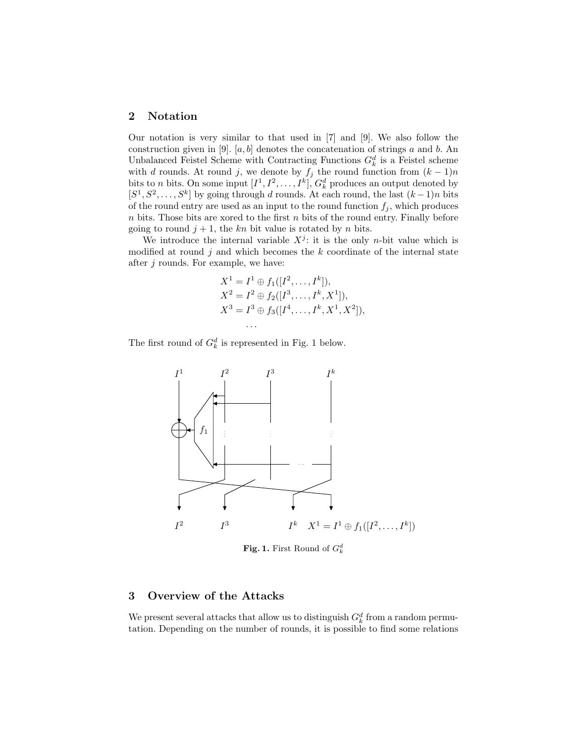### 2 Notation

Our notation is very similar to that used in [7] and [9]. We also follow the construction given in [9]. [a, b] denotes the concatenation of strings a and b. An Unbalanced Feistel Scheme with Contracting Functions  $G_k^d$  is a Feistel scheme with d rounds. At round j, we denote by  $f_j$  the round function from  $(k-1)n$ bits to *n* bits. On some input  $[I^1, I^2, \ldots, I^k], G_k^d$  produces an output denoted by  $[S^1, S^2, \ldots, S^k]$  by going through d rounds. At each round, the last  $(k-1)n$  bits of the round entry are used as an input to the round function  $f_j$ , which produces  $n$  bits. Those bits are xored to the first  $n$  bits of the round entry. Finally before going to round  $j + 1$ , the kn bit value is rotated by n bits.

We introduce the internal variable  $X^j$ : it is the only *n*-bit value which is modified at round  $j$  and which becomes the  $k$  coordinate of the internal state after  $j$  rounds. For example, we have:

$$
X^{1} = I^{1} \oplus f_{1}([I^{2},...,I^{k}]),
$$
  
\n
$$
X^{2} = I^{2} \oplus f_{2}([I^{3},...,I^{k},X^{1}]),
$$
  
\n
$$
X^{3} = I^{3} \oplus f_{3}([I^{4},...,I^{k},X^{1},X^{2}]),
$$
  
\n...

The first round of  $G_k^d$  is represented in Fig. 1 below.



**Fig. 1.** First Round of  $G_k^d$ 

#### 3 Overview of the Attacks

We present several attacks that allow us to distinguish  $G_k^d$  from a random permutation. Depending on the number of rounds, it is possible to find some relations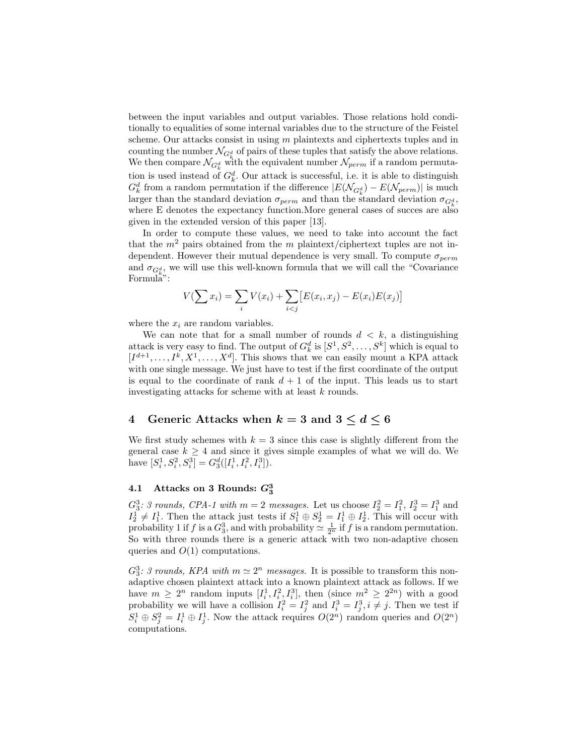between the input variables and output variables. Those relations hold conditionally to equalities of some internal variables due to the structure of the Feistel scheme. Our attacks consist in using  $m$  plaintexts and ciphertexts tuples and in counting the number  $\mathcal{N}_{G^d_\mu}$  of pairs of these tuples that satisfy the above relations. We then compare  $\mathcal{N}_{G^d_k}$  with the equivalent number  $\mathcal{N}_{perm}$  if a random permutation is used instead of  $G_k^d$ . Our attack is successful, i.e. it is able to distinguish  $G_k^d$  from a random permutation if the difference  $|E(\mathcal{N}_{G_k^d}) - E(\mathcal{N}_{perm})|$  is much larger than the standard deviation  $\sigma_{perm}$  and than the standard deviation  $\sigma_{G^d_k}$ , where E denotes the expectancy function. More general cases of succes are also given in the extended version of this paper [13].

In order to compute these values, we need to take into account the fact that the  $m^2$  pairs obtained from the m plaintext/ciphertext tuples are not independent. However their mutual dependence is very small. To compute  $\sigma_{perm}$ and  $\sigma_{G^d_k}$ , we will use this well-known formula that we will call the "Covariance" Formula":

$$
V(\sum x_i) = \sum_i V(x_i) + \sum_{i < j} [E(x_i, x_j) - E(x_i)E(x_j)]
$$

where the  $x_i$  are random variables.

We can note that for a small number of rounds  $d < k$ , a distinguishing attack is very easy to find. The output of  $G_k^d$  is  $[S^1, S^2, \ldots, S^k]$  which is equal to  $[I^{d+1}, \ldots, I^k, X^1, \ldots, X^d]$ . This shows that we can easily mount a KPA attack with one single message. We just have to test if the first coordinate of the output is equal to the coordinate of rank  $d + 1$  of the input. This leads us to start investigating attacks for scheme with at least k rounds.

### 4 Generic Attacks when  $k = 3$  and  $3 \le d \le 6$

We first study schemes with  $k = 3$  since this case is slightly different from the general case  $k \geq 4$  and since it gives simple examples of what we will do. We have  $[S_i^1, S_i^2, S_i^3] = G_3^d([I_i^1, I_i^2, I_i^3]).$ 

## $4.1$  Attacks on 3 Rounds:  $G_3^3$

 $G_3^3$ : 3 rounds, CPA-1 with  $m = 2$  messages. Let us choose  $I_2^2 = I_1^2$ ,  $I_2^3 = I_1^3$  and  $I_2^1 \neq I_1^1$ . Then the attack just tests if  $S_1^1 \oplus S_2^1 = I_1^1 \oplus I_2^1$ . This will occur with probability 1 if f is a  $G_3^3$ , and with probability  $\simeq \frac{1}{2^n}$  if f is a random permutation. So with three rounds there is a generic attack with two non-adaptive chosen queries and  $O(1)$  computations.

 $G_3^3$ : 3 rounds, KPA with  $m \simeq 2^n$  messages. It is possible to transform this nonadaptive chosen plaintext attack into a known plaintext attack as follows. If we have  $m \geq 2^n$  random inputs  $[I_i^1, I_i^2, I_i^3]$ , then (since  $m^2 \geq 2^{2n}$ ) with a good probability we will have a collision  $I_i^2 = I_j^2$  and  $I_i^3 = I_j^3$ ,  $i \neq j$ . Then we test if  $S_i^1 \oplus S_j^2 = I_i^1 \oplus I_j^1$ . Now the attack requires  $O(2^n)$  random queries and  $O(2^n)$ computations.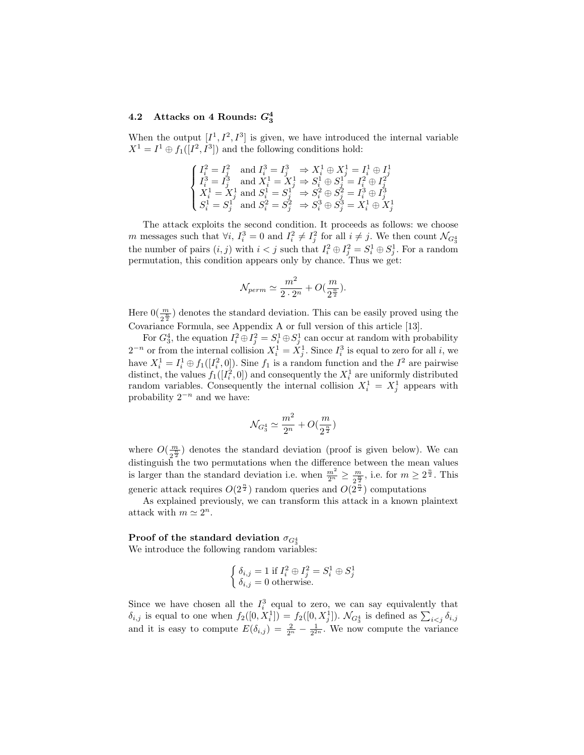## 4.2 Attacks on 4 Rounds:  $G_3^4$

When the output  $[I^1, I^2, I^3]$  is given, we have introduced the internal variable  $X^1 = I^1 \oplus f_1([I^2, I^3])$  and the following conditions hold:

$$
\begin{cases} I_i^2 = I_j^2 \quad \text{and } I_i^3 = I_j^3 \quad \Rightarrow X_i^1 \oplus X_j^1 = I_i^1 \oplus I_j^1 \\ I_i^3 = I_j^3 \quad \text{and } X_i^1 = X_j^1 \Rightarrow S_i^1 \oplus S_j^1 = I_i^2 \oplus I_j^2 \\ X_i^1 = X_j^1 \text{ and } S_i^1 = S_j^1 \quad \Rightarrow S_i^2 \oplus S_j^2 = I_i^3 \oplus I_j^3 \\ S_i^1 = S_j^1 \quad \text{and } S_i^2 = S_j^2 \quad \Rightarrow S_i^3 \oplus S_j^3 = X_i^1 \oplus X_j^1 \end{cases}
$$

The attack exploits the second condition. It proceeds as follows: we choose m messages such that  $\forall i$ ,  $I_i^3 = 0$  and  $I_i^2 \neq I_j^2$  for all  $i \neq j$ . We then count  $\mathcal{N}_{G_3^4}$ the number of pairs  $(i, j)$  with  $i < j$  such that  $I_i^2 \oplus I_j^2 = S_i^1 \oplus S_j^1$ . For a random permutation, this condition appears only by chance. Thus we get:

$$
\mathcal{N}_{perm}\simeq \frac{m^2}{2\cdot 2^n}+O(\frac{m}{2^{\frac{n}{2}}}).
$$

Here  $0(\frac{m}{2^{\frac{n}{2}}} )$  denotes the standard deviation. This can be easily proved using the Covariance Formula, see Appendix A or full version of this article [13].

For  $G_3^4$ , the equation  $I_i^2 \oplus I_j^2 = S_i^1 \oplus S_j^1$  can occur at random with probability  $2^{-n}$  or from the internal collision  $X_i^1 = X_j^1$ . Since  $I_i^3$  is equal to zero for all i, we have  $X_i^1 = I_i^1 \oplus f_1([I_i^2, 0])$ . Sine  $f_1$  is a random function and the  $I^2$  are pairwise distinct, the values  $f_1([I_i^2, 0])$  and consequently the  $X_i^1$  are uniformly distributed random variables. Consequently the internal collision  $X_i^1 = X_j^1$  appears with probability  $2^{-n}$  and we have:

$$
\mathcal{N}_{G_3^4}\simeq \frac{m^2}{2^n}+O(\frac{m}{2^\frac{n}{2}})
$$

where  $O(\frac{m}{\sigma^{\frac{n}{2}}}$  $\frac{m}{2^{\frac{n}{2}}}$  denotes the standard deviation (proof is given below). We can distinguish the two permutations when the difference between the mean values is larger than the standard deviation i.e. when  $\frac{m^2}{2^n} \geq \frac{m}{2^{\frac{n}{2}}}$  $\frac{m}{2^{\frac{n}{2}}},$  i.e. for  $m \geq 2^{\frac{n}{2}}.$  This generic attack requires  $O(2^{\frac{n}{2}})$  random queries and  $O(2^{\frac{n}{2}})$  computations

As explained previously, we can transform this attack in a known plaintext attack with  $m \simeq 2^n$ .

## Proof of the standard deviation  $\sigma_{G_3^4}$

We introduce the following random variables:

$$
\begin{cases} \delta_{i,j} = 1 \text{ if } I_i^2 \oplus I_j^2 = S_i^1 \oplus S_j^1\\ \delta_{i,j} = 0 \text{ otherwise.} \end{cases}
$$

Since we have chosen all the  $I_i^3$  equal to zero, we can say equivalently that  $\delta_{i,j}$  is equal to one when  $f_2([0, X_i]) = f_2([0, X_j])$ .  $\mathcal{N}_{G_3^4}$  is defined as  $\sum_{i < j} \delta_{i,j}$ and it is easy to compute  $E(\delta_{i,j}) = \frac{2}{2^n} - \frac{1}{2^{2n}}$ . We now compute the variance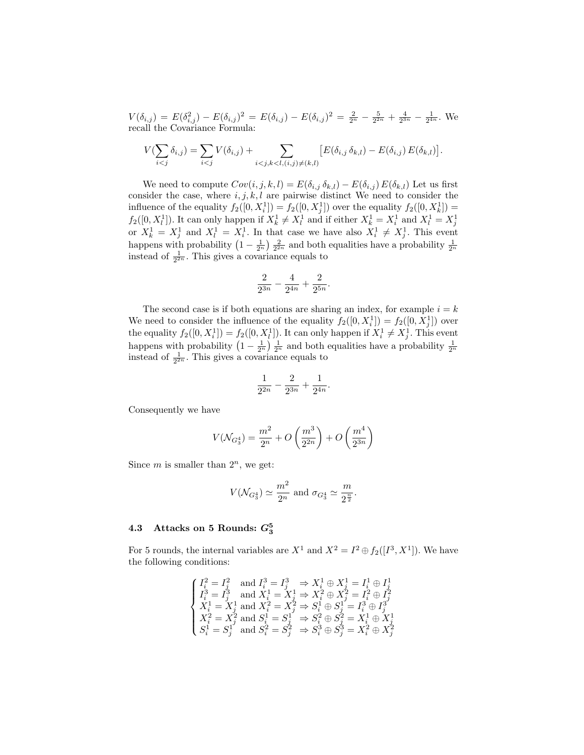$V(\delta_{i,j}) = E(\delta_{i,j}^2) - E(\delta_{i,j})^2 = E(\delta_{i,j}) - E(\delta_{i,j})^2 = \frac{2}{2^n} - \frac{5}{2^{2n}} + \frac{4}{2^{3n}} - \frac{1}{2^{4n}}$ . We recall the Covariance Formula:

$$
V(\sum_{i < j} \delta_{i,j}) = \sum_{i < j} V(\delta_{i,j}) + \sum_{i < j, k < l, (i,j) \neq (k,l)} \big[ E(\delta_{i,j} \, \delta_{k,l}) - E(\delta_{i,j}) \, E(\delta_{k,l}) \big].
$$

We need to compute  $Cov(i, j, k, l) = E(\delta_{i,j} \delta_{k,l}) - E(\delta_{i,j}) E(\delta_{k,l})$  Let us first consider the case, where  $i, j, k, l$  are pairwise distinct We need to consider the influence of the equality  $f_2([0, X_i]) = f_2([0, X_j])$  over the equality  $f_2([0, X_k]) =$  $f_2([0, X_l])$ . It can only happen if  $X_k^1 \neq X_l^1$  and if either  $X_k^1 = X_i^1$  and  $X_l^1 = X_j^1$ or  $X_k^1 = X_j^1$  and  $X_l^1 = X_i^1$ . In that case we have also  $X_i^1 \neq X_j^1$ . This event happens with probability  $\left(1-\frac{1}{2^n}\right)\frac{2}{2^{2n}}$  and both equalities have a probability  $\frac{1}{2^n}$ instead of  $\frac{1}{2^{2n}}$ . This gives a covariance equals to

$$
\frac{2}{2^{3n}}-\frac{4}{2^{4n}}+\frac{2}{2^{5n}}
$$

.

The second case is if both equations are sharing an index, for example  $i = k$ We need to consider the influence of the equality  $f_2([0, X_i]) = f_2([0, X_j])$  over the equality  $f_2([0, X_i^1]) = f_2([0, X_i^1])$ . It can only happen if  $X_i^1 \neq X_j^1$ . This event happens with probability  $\left(1-\frac{1}{2^n}\right)\frac{1}{2^n}$  and both equalities have a probability  $\frac{1}{2^n}$ instead of  $\frac{1}{2^{2n}}$ . This gives a covariance equals to

$$
\frac{1}{2^{2n}} - \frac{2}{2^{3n}} + \frac{1}{2^{4n}}.
$$

Consequently we have

$$
V(\mathcal{N}_{G_3^4}) = \frac{m^2}{2^n} + O\left(\frac{m^3}{2^{2n}}\right) + O\left(\frac{m^4}{2^{3n}}\right)
$$

Since m is smaller than  $2^n$ , we get:

$$
V(\mathcal{N}_{G_3^4}) \simeq \frac{m^2}{2^n}
$$
 and  $\sigma_{G_3^4} \simeq \frac{m}{2^{\frac{n}{2}}}.$ 

## $4.3$  Attacks on 5 Rounds:  $G_3^5$

For 5 rounds, the internal variables are  $X^1$  and  $X^2 = I^2 \oplus f_2([I^3, X^1])$ . We have the following conditions:

$$
\begin{cases} I_i^2 = I_j^2 \quad \text{and } I_i^3 = I_j^3 \quad \Rightarrow X_i^1 \oplus X_j^1 = I_i^1 \oplus I_j^1 \\ I_i^3 = I_j^3 \quad \text{and } X_i^1 = X_j^1 \Rightarrow X_i^2 \oplus X_j^2 = I_i^2 \oplus I_j^2 \\ X_i^1 = X_j^1 \text{ and } X_i^2 = X_j^2 \Rightarrow S_i^1 \oplus S_j^1 = I_i^3 \oplus I_j^3 \\ X_i^2 = X_j^2 \text{ and } S_i^1 = S_j^1 \Rightarrow S_i^2 \oplus S_j^2 = X_i^1 \oplus X_j^1 \\ S_i^1 = S_j^1 \quad \text{and } S_i^2 = S_j^2 \Rightarrow S_i^3 \oplus S_j^3 = X_i^2 \oplus X_j^2 \end{cases}
$$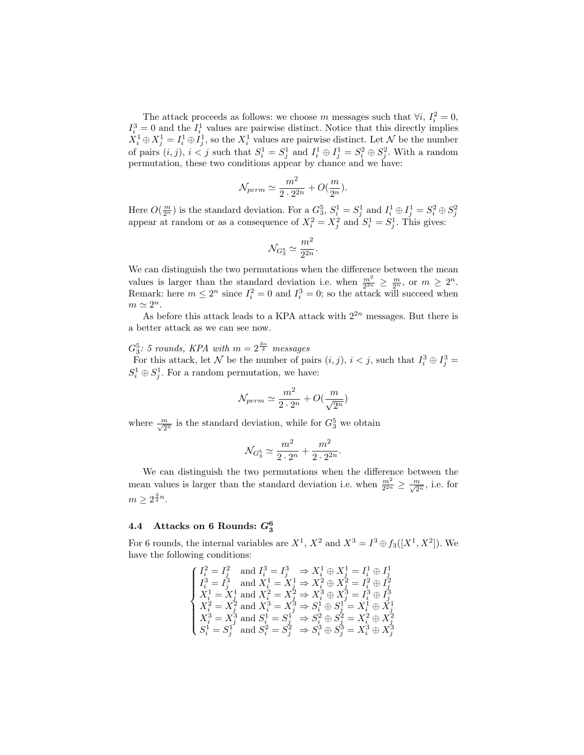The attack proceeds as follows: we choose m messages such that  $\forall i, I_i^2 = 0$ ,  $I_i^3 = 0$  and the  $I_i^1$  values are pairwise distinct. Notice that this directly implies  $X_i^1 \oplus X_j^1 = I_i^1 \oplus I_j^1$ , so the  $X_i^1$  values are pairwise distinct. Let N be the number of pairs  $(i, j)$ ,  $i < j$  such that  $S_i^1 = S_j^1$  and  $I_i^1 \oplus I_j^1 = S_i^2 \oplus S_j^2$ . With a random permutation, these two conditions appear by chance and we have:

$$
\mathcal{N}_{perm} \simeq \frac{m^2}{2 \cdot 2^{2n}} + O(\frac{m}{2^n}).
$$

Here  $O(\frac{m}{2^n})$  is the standard deviation. For a  $G_3^5$ ,  $S_i^1 = S_j^1$  and  $I_i^1 \oplus I_j^1 = S_i^2 \oplus S_j^2$  appear at random or as a consequence of  $X_i^2 = X_j^2$  and  $S_i^1 = S_j^1$ . This gives:

$$
\mathcal{N}_{G_3^5}\simeq \frac{m^2}{2^{2n}}.
$$

We can distinguish the two permutations when the difference between the mean values is larger than the standard deviation i.e. when  $\frac{m^2}{2^{2n}} \geq \frac{m}{2^n}$ , or  $m \geq 2^n$ . Remark: here  $m \leq 2^n$  since  $I_i^2 = 0$  and  $I_i^3 = 0$ ; so the attack will succeed when  $m \simeq 2^n$ .

As before this attack leads to a KPA attack with  $2^{2n}$  messages. But there is a better attack as we can see now.

 $G_3^5$ : 5 rounds, KPA with  $m=2^{\frac{3n}{2}}$  messages For this attack, let N be the number of pairs  $(i, j)$ ,  $i < j$ , such that  $I_i^3 \oplus I_j^3 =$  $S_i^1 \oplus S_j^1$ . For a random permutation, we have:

$$
\mathcal{N}_{perm}\simeq \frac{m^2}{2\cdot 2^n}+O(\frac{m}{\sqrt{2^n}})
$$

where  $\frac{m}{\sqrt{2^n}}$  is the standard deviation, while for  $G_3^5$  we obtain

$$
\mathcal{N}_{G_3^5}\simeq \frac{m^2}{2\cdot 2^n}+\frac{m^2}{2\cdot 2^{2n}}
$$

.

We can distinguish the two permutations when the difference between the mean values is larger than the standard deviation i.e. when  $\frac{m^2}{2^{2n}} \geq \frac{m}{\sqrt{2^n}}$ , i.e. for  $m \geq 2^{\frac{3}{2}n}$ .

## $4.4$  Attacks on 6 Rounds:  $G_3^6$

For 6 rounds, the internal variables are  $X^1$ ,  $X^2$  and  $X^3 = I^3 \oplus f_3([X^1, X^2])$ . We have the following conditions:

$$
\begin{cases} I_i^2 = I_j^2 \quad \text{and } I_i^3 = I_j^3 \quad \Rightarrow X_i^1 \oplus X_j^1 = I_i^1 \oplus I_j^1 \\ I_i^3 = I_j^3 \quad \text{and } X_i^1 = X_j^1 \Rightarrow X_i^2 \oplus X_j^2 = I_i^2 \oplus I_j^2 \\ X_i^1 = X_j^1 \text{ and } X_i^2 = X_j^2 \Rightarrow X_i^3 \oplus X_j^3 = I_i^3 \oplus I_j^3 \\ X_i^2 = X_j^2 \text{ and } X_i^3 = X_j^3 \Rightarrow S_i^1 \oplus S_j^1 = X_i^1 \oplus X_j^1 \\ X_i^3 = X_j^3 \text{ and } S_i^1 = S_j^1 \Rightarrow S_i^2 \oplus S_j^2 = X_i^2 \oplus X_j^2 \\ S_i^1 = S_j^1 \quad \text{and } S_i^2 = S_j^2 \Rightarrow S_i^3 \oplus S_j^3 = X_i^3 \oplus X_j^3 \end{cases}
$$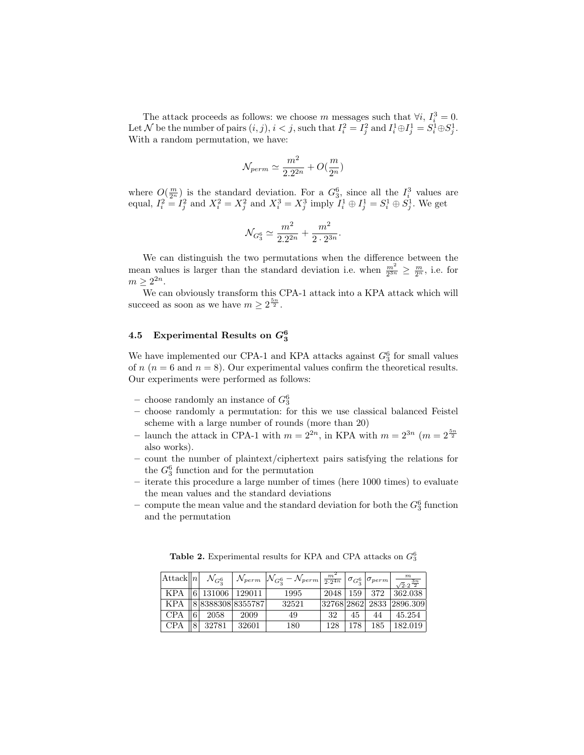The attack proceeds as follows: we choose m messages such that  $\forall i, I_i^3 = 0$ . Let N be the number of pairs  $(i, j), i < j$ , such that  $I_i^2 = I_j^2$  and  $I_i^1 \oplus I_j^1 = S_i^1 \oplus S_j^1$ . With a random permutation, we have:

$$
\mathcal{N}_{perm}\simeq \frac{m^2}{2.2^{2n}}+O(\frac{m}{2^n})
$$

where  $O(\frac{m}{2^n})$  is the standard deviation. For a  $G_3^6$ , since all the  $I_i^3$  values are equal,  $I_i^2 = I_j^2$  and  $X_i^2 = X_j^2$  and  $X_i^3 = X_j^3$  imply  $I_i^1 \oplus I_j^1 = S_i^1 \oplus S_j^1$ . We get

$$
\mathcal{N}_{G_3^6} \simeq \frac{m^2}{2.2^{2n}} + \frac{m^2}{2 \cdot 2^{3n}}
$$

.

We can distinguish the two permutations when the difference between the mean values is larger than the standard deviation i.e. when  $\frac{m^2}{2^{3n}} \geq \frac{m}{2^n}$ , i.e. for  $m \geq 2^{2n}$ .

We can obviously transform this CPA-1 attack into a KPA attack which will succeed as soon as we have  $m \geq 2^{\frac{5n}{2}}$ .

## $4.5$  Experimental Results on  $G_3^6$

We have implemented our CPA-1 and KPA attacks against  $G_3^6$  for small values of  $n (n = 6$  and  $n = 8)$ . Our experimental values confirm the theoretical results. Our experiments were performed as follows:

- choose randomly an instance of  $G_3^6$
- choose randomly a permutation: for this we use classical balanced Feistel scheme with a large number of rounds (more than 20)
- launch the attack in CPA-1 with  $m = 2^{2n}$ , in KPA with  $m = 2^{3n}$   $(m = 2^{\frac{5n}{2}})$ also works).
- count the number of plaintext/ciphertext pairs satisfying the relations for the  $G_3^6$  function and for the permutation
- iterate this procedure a large number of times (here 1000 times) to evaluate the mean values and the standard deviations
- compute the mean value and the standard deviation for both the  $G_3^6$  function and the permutation

Table 2. Experimental results for KPA and CPA attacks on  $G_3^6$ 

|            | $ \text{Attack}  n  \mathcal{N}_{G_2^6}$ |                     | $\mid\mathcal{N}_{perm}\left[\mathcal{N}_{G_3^6}-\mathcal{N}_{perm}\right]\frac{m^2}{2\cdot 2^{4n}}\left \sigma_{G_3^6}\left \sigma_{perm}\right \right]$ |     |     |     | $\frac{m}{2}$<br>$\sqrt{2}\cdot 2^{\frac{3n}{2}}$ |
|------------|------------------------------------------|---------------------|-----------------------------------------------------------------------------------------------------------------------------------------------------------|-----|-----|-----|---------------------------------------------------|
|            |                                          | KPA 6 131006 129011 | 1995                                                                                                                                                      |     |     |     | $2048$   159   372   362.038                      |
|            |                                          | KPA 883883088355787 | 32521                                                                                                                                                     |     |     |     | 32768 2862  2833  2896.309                        |
| <b>CPA</b> | $\parallel$ 6 2058                       | 2009                | 49                                                                                                                                                        | 32  | 45  | 44  | 45.254                                            |
| <b>CPA</b> | 8  32781                                 | 32601               | 180                                                                                                                                                       | 128 | 178 | 185 | 182.019                                           |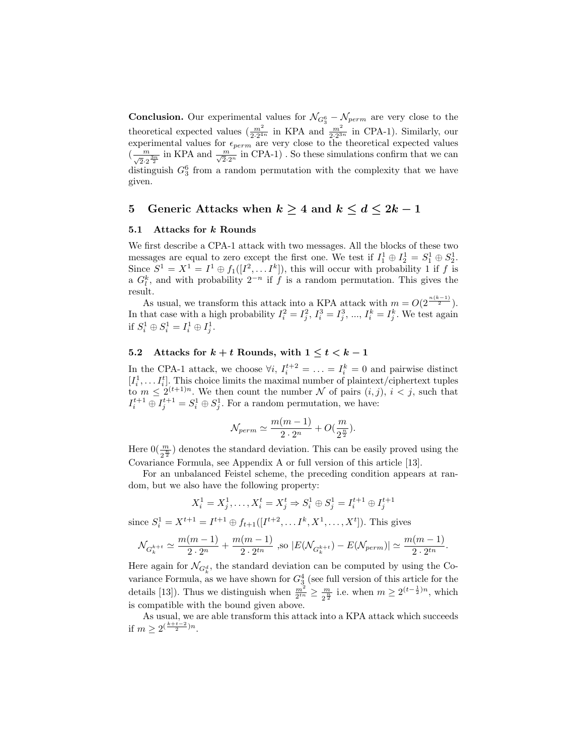**Conclusion.** Our experimental values for  $\mathcal{N}_{G_3^6} - \mathcal{N}_{perm}$  are very close to the theoretical expected values  $\left(\frac{m^2}{2 \cdot 2^{4n}}\right)$  in KPA and  $\frac{m^2}{2 \cdot 2^{3n}}$  in CPA-1). Similarly, our experimental values for  $\epsilon_{perm}$  are very close to the theoretical expected values  $(\frac{m}{\sqrt{2}\cdot 2^{\frac{3n}{2}}}$  in KPA and  $\frac{m}{\sqrt{2}\cdot 2^n}$  in CPA-1). So these simulations confirm that we can distinguish  $G_3^6$  from a random permutation with the complexity that we have given.

### 5 Generic Attacks when  $k \geq 4$  and  $k \leq d \leq 2k-1$

#### 5.1 Attacks for k Rounds

We first describe a CPA-1 attack with two messages. All the blocks of these two messages are equal to zero except the first one. We test if  $I_1^1 \oplus I_2^1 = S_1^1 \oplus S_2^1$ . Since  $S^1 = X^1 = I^1 \oplus f_1([I^2, \dots I^k]),$  this will occur with probability 1 if f is a  $G_l^k$ , and with probability  $2^{-n}$  if f is a random permutation. This gives the result.

As usual, we transform this attack into a KPA attack with  $m = O(2^{\frac{n(k-1)}{2}})$ . In that case with a high probability  $I_i^2 = I_j^2$ ,  $I_i^3 = I_j^3$ , ...,  $I_i^k = I_j^k$ . We test again if  $S_i^1 \oplus S_i^1 = I_i^1 \oplus I_j^1$ .

### 5.2 Attacks for  $k + t$  Rounds, with  $1 \leq t < k - 1$

In the CPA-1 attack, we choose  $\forall i, I_i^{t+2} = \ldots = I_i^k = 0$  and pairwise distinct  $[I_i^1, \ldots I_i^t]$ . This choice limits the maximal number of plaintext/ciphertext tuples to  $m \leq 2^{(t+1)n}$ . We then count the number N of pairs  $(i, j)$ ,  $i < j$ , such that  $I_i^{t+1} \oplus I_j^{t+1} = S_i^1 \oplus S_j^1$ . For a random permutation, we have:

$$
\mathcal{N}_{perm}\simeq \frac{m(m-1)}{2\cdot 2^n}+O(\frac{m}{2^{\frac{n}{2}}}).
$$

Here  $0(\frac{m}{2^{\frac{n}{2}}} )$  denotes the standard deviation. This can be easily proved using the Covariance Formula, see Appendix A or full version of this article [13].

For an unbalanced Feistel scheme, the preceding condition appears at random, but we also have the following property:

$$
X_i^1 = X_j^1, \dots, X_i^t = X_j^t \Rightarrow S_i^1 \oplus S_j^1 = I_i^{t+1} \oplus I_j^{t+1}
$$

since  $S_i^1 = X^{t+1} = I^{t+1} \oplus f_{t+1}([I^{t+2}, \dots I^k, X^1, \dots, X^t])$ . This gives

$$
\mathcal{N}_{G_k^{k+t}} \simeq \frac{m(m-1)}{2 \cdot 2^n} + \frac{m(m-1)}{2 \cdot 2^{tn}} \text{ ,so } |E(\mathcal{N}_{G_k^{k+t}}) - E(\mathcal{N}_{perm})| \simeq \frac{m(m-1)}{2 \cdot 2^{tn}}.
$$

Here again for  $\mathcal{N}_{G^d_k}$ , the standard deviation can be computed by using the Covariance Formula, as we have shown for  $G_3^4$  (see full version of this article for the details [13]). Thus we distinguish when  $\frac{m^2}{2^{tn}} \geq \frac{m}{2^{\frac{m}{2}}}$  $\frac{m}{2^{\frac{n}{2}}}$  i.e. when  $m \geq 2^{(t-\frac{1}{2})n}$ , which is compatible with the bound given above.

As usual, we are able transform this attack into a KPA attack which succeeds if  $m \geq 2^{(\frac{k+t-2}{2})n}$ .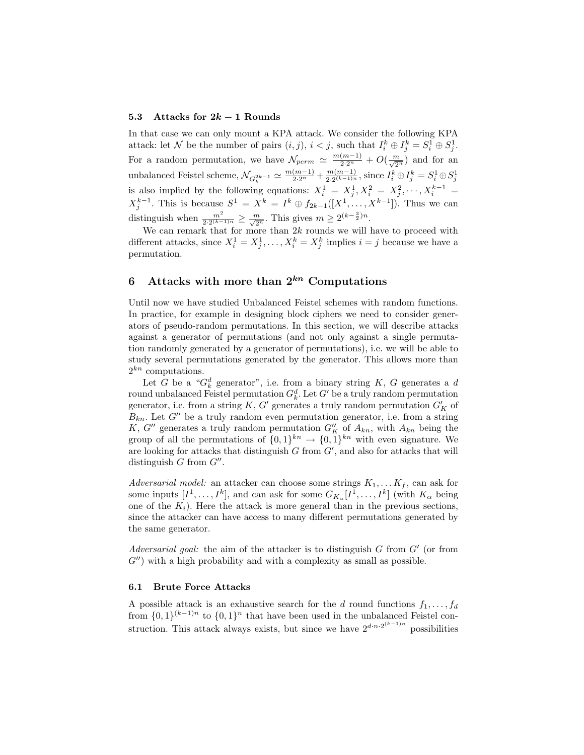#### 5.3 Attacks for  $2k-1$  Rounds

In that case we can only mount a KPA attack. We consider the following KPA attack: let N be the number of pairs  $(i, j)$ ,  $i < j$ , such that  $I_i^k \oplus I_j^k = S_i^1 \oplus S_j^1$ . j For a random permutation, we have  $\mathcal{N}_{perm} \simeq \frac{m(m-1)}{2 \cdot 2^n} + O(\frac{m}{\sqrt{2^n}})$  and for an unbalanced Feistel scheme,  $\mathcal{N}_{G_k^{2k-1}} \simeq \frac{m(m-1)}{2 \cdot 2^n} + \frac{m(m-1)}{2 \cdot 2^{(k-1)n}}$  $\frac{m(m-1)}{2\cdot 2^{(k-1)n}}$ , since  $I_i^k \oplus I_j^k = S_i^1 \oplus S_j^1$ is also implied by the following equations:  $X_i^1 = X_j^1, X_i^2 = X_j^2, \dots, X_i^{k-1} =$  $X_j^{k-1}$ . This is because  $S^1 = X^k = I^k \oplus f_{2k-1}([X^1, \ldots, X^{k-1}])$ . Thus we can distinguish when  $\frac{m^2}{2 \cdot 2^{(k-1)n}} \ge \frac{m}{\sqrt{2^n}}$ . This gives  $m \ge 2^{(k-\frac{3}{2})n}$ .

We can remark that for more than  $2k$  rounds we will have to proceed with different attacks, since  $X_i^1 = X_j^1, \ldots, X_i^k = X_j^k$  implies  $i = j$  because we have a permutation.

### 6 Attacks with more than  $2^{kn}$  Computations

Until now we have studied Unbalanced Feistel schemes with random functions. In practice, for example in designing block ciphers we need to consider generators of pseudo-random permutations. In this section, we will describe attacks against a generator of permutations (and not only against a single permutation randomly generated by a generator of permutations), i.e. we will be able to study several permutations generated by the generator. This allows more than  $2^{kn}$  computations.

Let G be a " $G_k^d$  generator", i.e. from a binary string K, G generates a d round unbalanced Feistel permutation  $G_k^d$ . Let  $G'$  be a truly random permutation generator, i.e. from a string  $K$ ,  $G'$  generates a truly random permutation  $G'_{K}$  of  $B_{kn}$ . Let  $G''$  be a truly random even permutation generator, i.e. from a string K, G'' generates a truly random permutation  $G''_K$  of  $A_{kn}$ , with  $A_{kn}$  being the group of all the permutations of  $\{0,1\}^{kn} \to \{0,1\}^{kn}$  with even signature. We are looking for attacks that distinguish  $G$  from  $G'$ , and also for attacks that will distinguish  $G$  from  $G''$ .

Adversarial model: an attacker can choose some strings  $K_1, \ldots K_f$ , can ask for some inputs  $[I^1, \ldots, I^k]$ , and can ask for some  $G_{K_\alpha}[I^1, \ldots, I^k]$  (with  $K_\alpha$  being one of the  $K_i$ ). Here the attack is more general than in the previous sections, since the attacker can have access to many different permutations generated by the same generator.

Adversarial goal: the aim of the attacker is to distinguish  $G$  from  $G'$  (or from  $G''$ ) with a high probability and with a complexity as small as possible.

#### 6.1 Brute Force Attacks

A possible attack is an exhaustive search for the d round functions  $f_1, \ldots, f_d$ from  $\{0,1\}^{(k-1)n}$  to  $\{0,1\}^n$  that have been used in the unbalanced Feistel construction. This attack always exists, but since we have  $2^{d \cdot n \cdot 2^{(k-1)n}}$  possibilities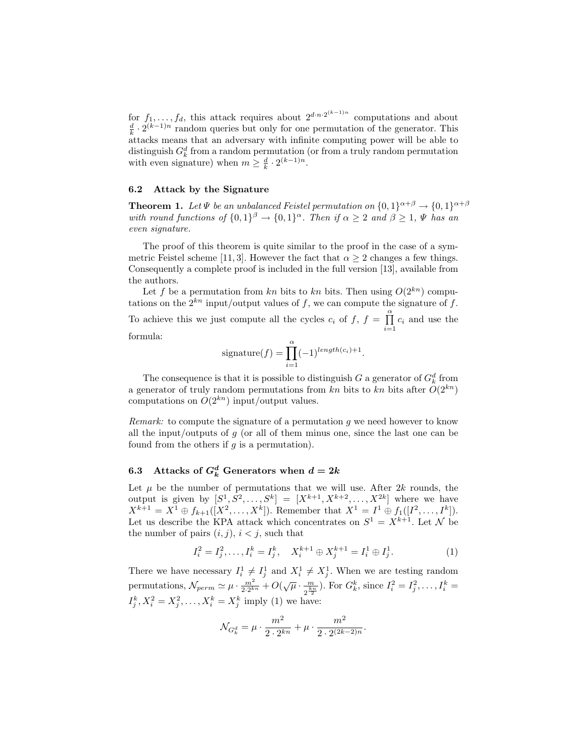for  $f_1, \ldots, f_d$ , this attack requires about  $2^{d \cdot n \cdot 2^{(k-1)n}}$  computations and about  $\frac{d}{k} \cdot 2^{(k-1)n}$  random queries but only for one permutation of the generator. This attacks means that an adversary with infinite computing power will be able to distinguish  $G_k^d$  from a random permutation (or from a truly random permutation with even signature) when  $m \geq \frac{d}{k} \cdot 2^{(k-1)n}$ .

#### 6.2 Attack by the Signature

**Theorem 1.** Let  $\Psi$  be an unbalanced Feistel permutation on  $\{0,1\}^{\alpha+\beta} \rightarrow \{0,1\}^{\alpha+\beta}$ with round functions of  $\{0,1\}^{\beta} \rightarrow \{0,1\}^{\alpha}$ . Then if  $\alpha \geq 2$  and  $\beta \geq 1$ ,  $\Psi$  has an even signature.

The proof of this theorem is quite similar to the proof in the case of a symmetric Feistel scheme [11, 3]. However the fact that  $\alpha \geq 2$  changes a few things. Consequently a complete proof is included in the full version [13], available from the authors.

Let f be a permutation from kn bits to kn bits. Then using  $O(2^{kn})$  computations on the  $2^{kn}$  input/output values of f, we can compute the signature of f. To achieve this we just compute all the cycles  $c_i$  of  $f, f = \prod^{\alpha}$  $\prod_{i=1} c_i$  and use the formula:

$$
signature(f) = \prod_{i=1}^{\alpha} (-1)^{length(c_i)+1}.
$$

The consequence is that it is possible to distinguish G a generator of  $G_k^d$  from a generator of truly random permutations from kn bits to kn bits after  $O(2^{kn})$ computations on  $O(2^{kn})$  input/output values.

*Remark:* to compute the signature of a permutation q we need however to know all the input/outputs of  $q$  (or all of them minus one, since the last one can be found from the others if  $g$  is a permutation).

## 6.3 Attacks of  $G_k^d$  Generators when  $d = 2k$

Let  $\mu$  be the number of permutations that we will use. After 2k rounds, the output is given by  $[S^1, S^2, ..., S^k] = [X^{k+1}, X^{k+2}, ..., X^{2k}]$  where we have  $X^{k+1} = X^1 \oplus f_{k+1}([X^2, \ldots, X^k]).$  Remember that  $X^1 = I^1 \oplus f_1([I^2, \ldots, I^k]).$ Let us describe the KPA attack which concentrates on  $S^1 = X^{k+1}$ . Let N be the number of pairs  $(i, j)$ ,  $i < j$ , such that

$$
I_i^2 = I_j^2, \dots, I_i^k = I_j^k, \quad X_i^{k+1} \oplus X_j^{k+1} = I_i^1 \oplus I_j^1. \tag{1}
$$

There we have necessary  $I_i^1 \neq I_j^1$  and  $X_i^1 \neq X_j^1$ . When we are testing random permutations,  $\mathcal{N}_{perm} \simeq \mu \cdot \frac{m^2}{2 \cdot 2^{kn}} + O(\sqrt{\mu} \cdot \frac{m}{\sqrt{\frac{kn}{n}}}$  $\frac{m}{2^{\frac{k_n}{2}}}$ ). For  $G_k^k$ , since  $I_i^2 = I_j^2, \ldots, I_i^k =$  $I_j^k, X_i^2 = X_j^2, ..., X_i^k = X_j^k$  imply (1) we have:

$$
\mathcal{N}_{G_k^d} = \mu \cdot \frac{m^2}{2 \cdot 2^{kn}} + \mu \cdot \frac{m^2}{2 \cdot 2^{(2k-2)n}}.
$$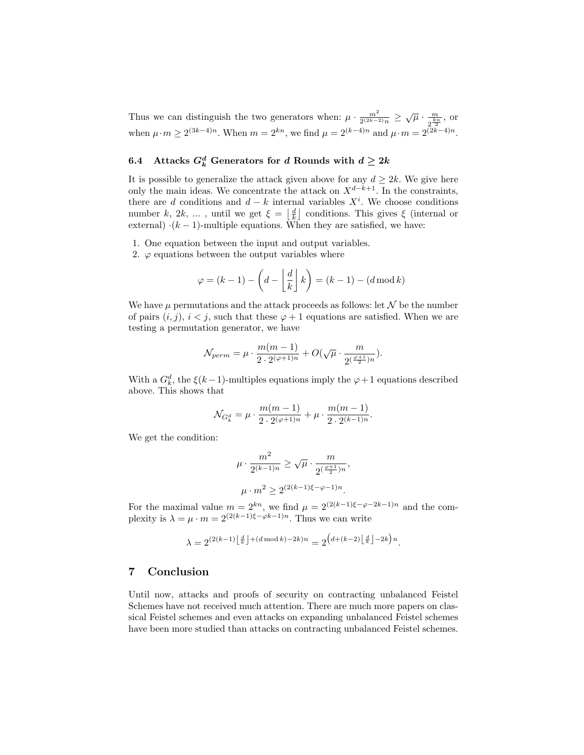Thus we can distinguish the two generators when:  $\mu \cdot \frac{m^2}{2^{(2k-2)n}} \geq \sqrt{\mu} \cdot \frac{m}{2^{\frac{N}{2}}}$  $\frac{m}{2^{\frac{kn}{2}}},$  or when  $\mu \cdot m \ge 2^{(3k-4)n}$ . When  $m = 2^{kn}$ , we find  $\mu = 2^{(k-4)n}$  and  $\mu \cdot m = 2^{(2k-4)n}$ .

## 6.4 Attacks  $G_k^d$  Generators for d Rounds with  $d \geq 2k$

It is possible to generalize the attack given above for any  $d \geq 2k$ . We give here only the main ideas. We concentrate the attack on  $X^{d-k+1}$ . In the constraints, there are d conditions and  $d - k$  internal variables  $X<sup>i</sup>$ . We choose conditions number k, 2k, ..., until we get  $\xi = \left\lfloor \frac{d}{k} \right\rfloor$  conditions. This gives  $\xi$  (internal or external)  $\cdot (k-1)$ -multiple equations. When they are satisfied, we have:

- 1. One equation between the input and output variables.
- 2.  $\varphi$  equations between the output variables where

$$
\varphi = (k-1) - \left(d - \left\lfloor \frac{d}{k} \right\rfloor k\right) = (k-1) - (d \operatorname{mod} k)
$$

We have  $\mu$  permutations and the attack proceeds as follows: let  $\mathcal N$  be the number of pairs  $(i, j)$ ,  $i < j$ , such that these  $\varphi + 1$  equations are satisfied. When we are testing a permutation generator, we have

$$
\mathcal{N}_{perm} = \mu \cdot \frac{m(m-1)}{2 \cdot 2^{(\varphi+1)n}} + O(\sqrt{\mu} \cdot \frac{m}{2^{\left(\frac{\varphi+1}{2}\right)n}}).
$$

With a  $G_k^d$ , the  $\xi(k-1)$ -multiples equations imply the  $\varphi + 1$  equations described above. This shows that

$$
\mathcal{N}_{G_k^d} = \mu \cdot \frac{m(m-1)}{2 \cdot 2^{(\varphi+1)n}} + \mu \cdot \frac{m(m-1)}{2 \cdot 2^{(k-1)n}}.
$$

We get the condition:

$$
\mu \cdot \frac{m^2}{2^{(k-1)n}} \ge \sqrt{\mu} \cdot \frac{m}{2^{(\frac{\varphi+1}{2})n}},
$$
  

$$
\mu \cdot m^2 \ge 2^{(2(k-1)\xi - \varphi - 1)n}.
$$

For the maximal value  $m = 2^{kn}$ , we find  $\mu = 2^{(2(k-1)\xi - \varphi - 2k-1)n}$  and the complexity is  $\lambda = \mu \cdot m = 2^{(2(k-1)\xi - \varphi k - 1)n}$ . Thus we can write

$$
\lambda = 2^{(2(k-1)\left\lfloor\frac{d}{k}\right\rfloor+(d\operatorname{mod} k)-2k)n} = 2^{\left(d+(k-2)\left\lfloor\frac{d}{k}\right\rfloor-2k\right)n}.
$$

### 7 Conclusion

Until now, attacks and proofs of security on contracting unbalanced Feistel Schemes have not received much attention. There are much more papers on classical Feistel schemes and even attacks on expanding unbalanced Feistel schemes have been more studied than attacks on contracting unbalanced Feistel schemes.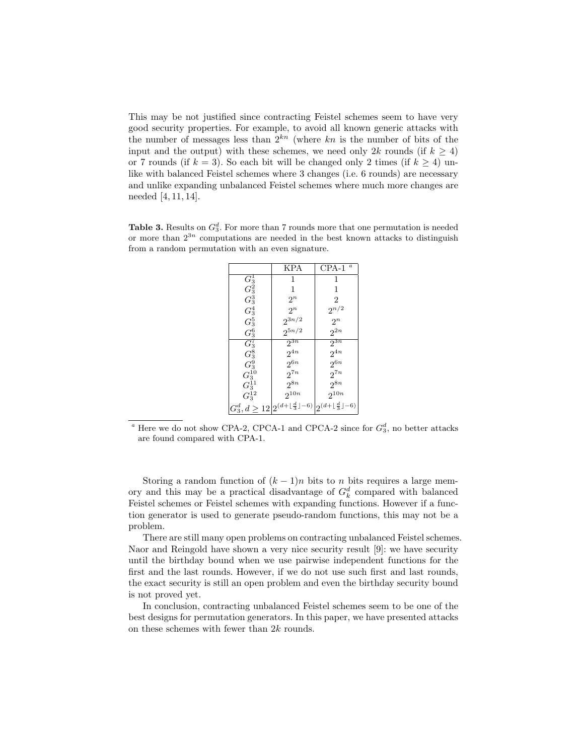This may be not justified since contracting Feistel schemes seem to have very good security properties. For example, to avoid all known generic attacks with the number of messages less than  $2^{kn}$  (where kn is the number of bits of the input and the output) with these schemes, we need only 2k rounds (if  $k \geq 4$ ) or 7 rounds (if  $k = 3$ ). So each bit will be changed only 2 times (if  $k \ge 4$ ) unlike with balanced Feistel schemes where 3 changes (i.e. 6 rounds) are necessary and unlike expanding unbalanced Feistel schemes where much more changes are needed [4, 11, 14].

**Table 3.** Results on  $G_3^d$ . For more than 7 rounds more that one permutation is needed or more than  $2^{3n}$  computations are needed in the best known attacks to distinguish from a random permutation with an even signature.

|                    | <b>KPA</b>                                                                                                   | $\overline{a}$<br>CPA-1 |
|--------------------|--------------------------------------------------------------------------------------------------------------|-------------------------|
| $G_3^1$            | 1                                                                                                            | 1                       |
| $G_3^2$            | 1                                                                                                            | 1                       |
| $G_3^3$            | $2^n$                                                                                                        | $\overline{2}$          |
| $\,G_3^4$          | $2^n$                                                                                                        | $2^{n/2}$               |
| $G_3^5$            | $2^{3n/2}$                                                                                                   | $2^n$                   |
| $\,G_3^6$          | $2^{5n/2}$                                                                                                   | $2^{2n}$                |
| $\overline{G_3^7}$ | $2^{3n}$                                                                                                     | $2^{3n}$                |
| $G_3^8$            | $2^{4n}$                                                                                                     | $2^{4n}$                |
| $\mathcal{G}^9_3$  | $2^{6n}$                                                                                                     | $2^{6n}$                |
| $G_3^{10}$         | $2^{7n}$                                                                                                     | $2^{7n}$                |
| $G_3^{11}$         | $2^{8n}$                                                                                                     | $2^{8n}$                |
| $G_3^{12}$         | $2^{10n}$                                                                                                    | $2^{10n}$               |
|                    | $G_3^d, d \geq 12\left 2^{(d+\lfloor \frac{d}{3} \rfloor -6)}\right  2^{(d+\lfloor \frac{d}{3} \rfloor -6)}$ |                         |

<sup>a</sup> Here we do not show CPA-2, CPCA-1 and CPCA-2 since for  $G_3^d$ , no better attacks are found compared with CPA-1.

Storing a random function of  $(k-1)n$  bits to n bits requires a large memory and this may be a practical disadvantage of  $G_k^d$  compared with balanced Feistel schemes or Feistel schemes with expanding functions. However if a function generator is used to generate pseudo-random functions, this may not be a problem.

There are still many open problems on contracting unbalanced Feistel schemes. Naor and Reingold have shown a very nice security result [9]: we have security until the birthday bound when we use pairwise independent functions for the first and the last rounds. However, if we do not use such first and last rounds, the exact security is still an open problem and even the birthday security bound is not proved yet.

In conclusion, contracting unbalanced Feistel schemes seem to be one of the best designs for permutation generators. In this paper, we have presented attacks on these schemes with fewer than  $2k$  rounds.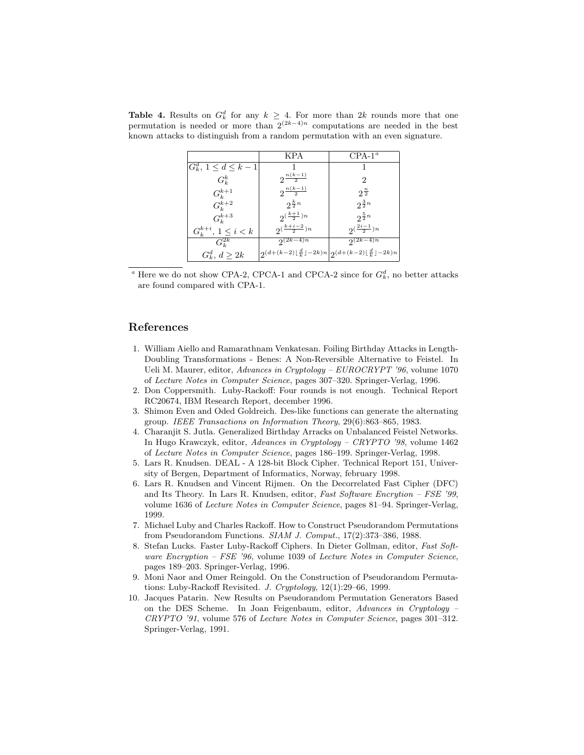|                            | KPA                                                                                                                                             | $CPA-1a$                |
|----------------------------|-------------------------------------------------------------------------------------------------------------------------------------------------|-------------------------|
| $G_k^d, 1 \leq d \leq k-1$ |                                                                                                                                                 |                         |
| $G_k^k$                    | $2^{\frac{n(k-1)}{2}}$                                                                                                                          | 2                       |
| $G_k^{k+1}$                | $2^{\frac{n(k-1)}{2}}$                                                                                                                          | $2^{\frac{n}{2}}$       |
| $G_k^{k+2}$                | $2^{\frac{k}{2}n}$                                                                                                                              | $2^{\frac{3}{2}n}$      |
| $G_k^{k+3}$                | $2^{\left(\frac{k+1}{2}\right)n}$                                                                                                               | $2^{\frac{5}{2}n}$      |
| $G_k^{k+i}, 1 \leq i < k$  | $2^{\left(\frac{k+i-2}{2}\right)n}$                                                                                                             | $2^{(\frac{2i-1}{2})n}$ |
| $G_k^{2k}$                 | $2^{(2k-4)n}$                                                                                                                                   | $2(k-4)n$               |
| $G_k^d, d \geq 2k$         | $\left 2^{\left(d+(k-2)\left\lfloor\frac{d}{k}\right\rfloor-2k\right)n}\right 2^{\left(d+(k-2)\left\lfloor\frac{d}{k}\right\rfloor-2k\right)n}$ |                         |

**Table 4.** Results on  $G_k^d$  for any  $k \geq 4$ . For more than 2k rounds more that one permutation is needed or more than  $2^{(2k-4)n}$  computations are needed in the best known attacks to distinguish from a random permutation with an even signature.

<sup>a</sup> Here we do not show CPA-2, CPCA-1 and CPCA-2 since for  $G_k^d$ , no better attacks are found compared with CPA-1.

### References

- 1. William Aiello and Ramarathnam Venkatesan. Foiling Birthday Attacks in Length-Doubling Transformations - Benes: A Non-Reversible Alternative to Feistel. In Ueli M. Maurer, editor, Advances in Cryptology – EUROCRYPT '96, volume 1070 of Lecture Notes in Computer Science, pages 307–320. Springer-Verlag, 1996.
- 2. Don Coppersmith. Luby-Rackoff: Four rounds is not enough. Technical Report RC20674, IBM Research Report, december 1996.
- 3. Shimon Even and Oded Goldreich. Des-like functions can generate the alternating group. IEEE Transactions on Information Theory, 29(6):863–865, 1983.
- 4. Charanjit S. Jutla. Generalized Birthday Arracks on Unbalanced Feistel Networks. In Hugo Krawczyk, editor, Advances in Cryptology – CRYPTO '98, volume 1462 of Lecture Notes in Computer Science, pages 186–199. Springer-Verlag, 1998.
- 5. Lars R. Knudsen. DEAL A 128-bit Block Cipher. Technical Report 151, University of Bergen, Department of Informatics, Norway, february 1998.
- 6. Lars R. Knudsen and Vincent Rijmen. On the Decorrelated Fast Cipher (DFC) and Its Theory. In Lars R. Knudsen, editor, Fast Software Encrytion – FSE '99, volume 1636 of Lecture Notes in Computer Science, pages 81–94. Springer-Verlag, 1999.
- 7. Michael Luby and Charles Rackoff. How to Construct Pseudorandom Permutations from Pseudorandom Functions. SIAM J. Comput., 17(2):373–386, 1988.
- 8. Stefan Lucks. Faster Luby-Rackoff Ciphers. In Dieter Gollman, editor, Fast Software Encryption – FSE '96, volume 1039 of Lecture Notes in Computer Science, pages 189–203. Springer-Verlag, 1996.
- 9. Moni Naor and Omer Reingold. On the Construction of Pseudorandom Permutations: Luby-Rackoff Revisited. J. Cryptology, 12(1):29–66, 1999.
- 10. Jacques Patarin. New Results on Pseudorandom Permutation Generators Based on the DES Scheme. In Joan Feigenbaum, editor, Advances in Cryptology – CRYPTO '91, volume 576 of Lecture Notes in Computer Science, pages 301–312. Springer-Verlag, 1991.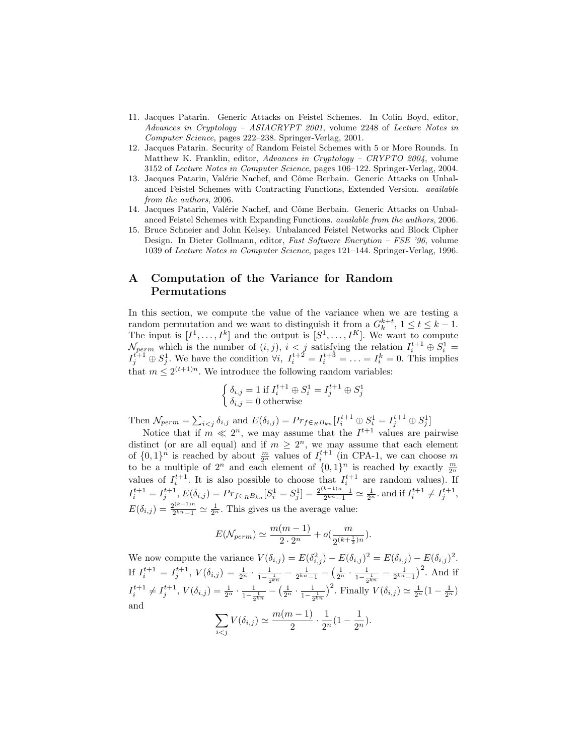- 11. Jacques Patarin. Generic Attacks on Feistel Schemes. In Colin Boyd, editor, Advances in Cryptology – ASIACRYPT 2001, volume 2248 of Lecture Notes in Computer Science, pages 222–238. Springer-Verlag, 2001.
- 12. Jacques Patarin. Security of Random Feistel Schemes with 5 or More Rounds. In Matthew K. Franklin, editor, Advances in Cryptology – CRYPTO 2004, volume 3152 of Lecture Notes in Computer Science, pages 106–122. Springer-Verlag, 2004.
- 13. Jacques Patarin, Valérie Nachef, and Côme Berbain. Generic Attacks on Unbalanced Feistel Schemes with Contracting Functions, Extended Version. available from the authors, 2006.
- 14. Jacques Patarin, Valérie Nachef, and Côme Berbain. Generic Attacks on Unbalanced Feistel Schemes with Expanding Functions. available from the authors, 2006.
- 15. Bruce Schneier and John Kelsey. Unbalanced Feistel Networks and Block Cipher Design. In Dieter Gollmann, editor, Fast Software Encrytion – FSE '96, volume 1039 of Lecture Notes in Computer Science, pages 121–144. Springer-Verlag, 1996.

### A Computation of the Variance for Random Permutations

In this section, we compute the value of the variance when we are testing a random permutation and we want to distinguish it from a  $G_k^{k+t}$ ,  $1 \le t \le k-1$ . The input is  $[I^1, \ldots, I^k]$  and the output is  $[S^1, \ldots, I^K]$ . We want to compute  $\mathcal{N}_{perm}$  which is the number of  $(i, j)$ ,  $i < j$  satisfying the relation  $I_i^{t+1} \oplus S_i^1 =$  $I_j^{t+1} \oplus S_j^1$ . We have the condition  $\forall i, I_i^{t+2} = I_i^{t+3} = \ldots = I_i^k = 0$ . This implies that  $m \leq 2^{(t+1)n}$ . We introduce the following random variables:

$$
\begin{cases} \delta_{i,j} = 1 \text{ if } I_i^{t+1} \oplus S_i^1 = I_j^{t+1} \oplus S_j^1\\ \delta_{i,j} = 0 \text{ otherwise} \end{cases}
$$

Then  $\mathcal{N}_{perm} = \sum_{i < j} \delta_{i,j}$  and  $E(\delta_{i,j}) = Pr_{f \in_R B_{kn}}[I_i^{t+1} \oplus S_i^1 = I_j^{t+1} \oplus S_j^1]$ 

Notice that if  $m \ll 2^n$ , we may assume that the  $I^{t+1}$  values are pairwise distinct (or are all equal) and if  $m \geq 2^n$ , we may assume that each element of  $\{0,1\}^n$  is reached by about  $\frac{m}{2^n}$  values of  $I_i^{t+1}$  (in CPA-1, we can choose m to be a multiple of  $2^n$  and each element of  $\{0,1\}^n$  is reached by exactly  $\frac{m}{2^n}$  values of  $I_i^{t+1}$ . It is also possible to choose that  $I_i^{t+1}$  are random values). If  $I_i^{t+1} = I_j^{t+1}, E(\delta_{i,j}) = Pr_{f \in_R B_{kn}}[S_i^1 = S_j^1] = \frac{2^{(k-1)n}-1}{2^{kn}-1} \simeq \frac{1}{2^n}.$  and if  $I_i^{t+1} \neq I_j^{t+1}$ ,  $E(\delta_{i,j}) = \frac{2^{(k-1)n}}{2^{kn}-1}$  $\frac{2^{(k-1)n}}{2^{kn}-1} \simeq \frac{1}{2^n}$ . This gives us the average value:

$$
E(\mathcal{N}_{perm}) \simeq \frac{m(m-1)}{2 \cdot 2^n} + o(\frac{m}{2^{(k+\frac{1}{2})n}}).
$$

We now compute the variance  $V(\delta_{i,j}) = E(\delta_{i,j}^2) - E(\delta_{i,j})^2 = E(\delta_{i,j}) - E(\delta_{i,j})^2$ . If  $I_i^{t+1} = I_j^{t+1}$ ,  $V(\delta_{i,j}) = \frac{1}{2^n} \cdot \frac{1}{1 - \frac{1}{2^{kn}}} - \frac{1}{2^{kn-1}} - \left(\frac{1}{2^n} \cdot \frac{1}{1 - \frac{1}{2^{kn}}} - \frac{1}{2^{kn-1}}\right)^2$ . And if  $I_i^{t+1} \neq I_j^{t+1}$ ,  $V(\delta_{i,j}) = \frac{1}{2^n} \cdot \frac{1}{1 - \frac{1}{2^{kn}}} - \left(\frac{1}{2^n} \cdot \frac{1}{1 - \frac{1}{2^{kn}}}\right)^2$ . Finally  $V(\delta_{i,j}) \simeq \frac{1}{2^n} (1 - \frac{1}{2^n})$ and  $m(m-1)$ 1 1

$$
\sum_{i < j} V(\delta_{i,j}) \simeq \frac{m(m-1)}{2} \cdot \frac{1}{2^n} (1 - \frac{1}{2^n}).
$$